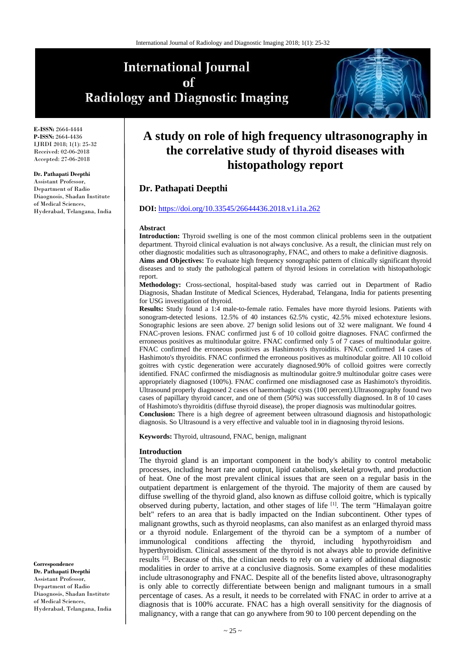# **International Journal** of **Radiology and Diagnostic Imaging**



**E-ISSN:** 2664-4444 **P-ISSN:** 2664-4436 IJRDI 2018; 1(1): 25-32 Received: 02-06-2018 Accepted: 27-06-2018

**Dr. Pathapati Deepthi** Assistant Professor, Department of Radio Diaognosis, Shadan Institute of Medical Sciences, Hyderabad, Telangana, India

## **A study on role of high frequency ultrasonography in the correlative study of thyroid diseases with histopathology report**

## **Dr. Pathapati Deepthi**

#### **DOI:** <https://doi.org/10.33545/26644436.2018.v1.i1a.262>

#### **Abstract**

**Introduction:** Thyroid swelling is one of the most common clinical problems seen in the outpatient department. Thyroid clinical evaluation is not always conclusive. As a result, the clinician must rely on other diagnostic modalities such as ultrasonography, FNAC, and others to make a definitive diagnosis. **Aims and Objectives:** To evaluate high frequency sonographic pattern of clinically significant thyroid diseases and to study the pathological pattern of thyroid lesions in correlation with histopathologic report.

**Methodology:** Cross-sectional, hospital-based study was carried out in Department of Radio Diagnosis, Shadan Institute of Medical Sciences, Hyderabad, Telangana, India for patients presenting for USG investigation of thyroid.

**Results:** Study found a 1:4 male-to-female ratio. Females have more thyroid lesions. Patients with sonogram-detected lesions. 12.5% of 40 instances 62.5% cystic, 42.5% mixed echotexture lesions. Sonographic lesions are seen above. 27 benign solid lesions out of 32 were malignant. We found 4 FNAC-proven lesions. FNAC confirmed just 6 of 10 colloid goitre diagnoses. FNAC confirmed the erroneous positives as multinodular goitre. FNAC confirmed only 5 of 7 cases of multinodular goitre. FNAC confirmed the erroneous positives as Hashimoto's thyroiditis. FNAC confirmed 14 cases of Hashimoto's thyroiditis. FNAC confirmed the erroneous positives as multinodular goitre. All 10 colloid goitres with cystic degeneration were accurately diagnosed.90% of colloid goitres were correctly identified. FNAC confirmed the misdiagnosis as multinodular goitre.9 multinodular goitre cases were appropriately diagnosed (100%). FNAC confirmed one misdiagnosed case as Hashimoto's thyroiditis. Ultrasound properly diagnosed 2 cases of haemorrhagic cysts (100 percent).Ultrasonography found two cases of papillary thyroid cancer, and one of them (50%) was successfully diagnosed. In 8 of 10 cases of Hashimoto's thyroiditis (diffuse thyroid disease), the proper diagnosis was multinodular goitres. **Conclusion:** There is a high degree of agreement between ultrasound diagnosis and histopathologic diagnosis. So Ultrasound is a very effective and valuable tool in in diagnosing thyroid lesions.

**Keywords:** Thyroid, ultrasound, FNAC, benign, malignant

#### **Introduction**

The thyroid gland is an important component in the body's ability to control metabolic processes, including heart rate and output, lipid catabolism, skeletal growth, and production of heat. One of the most prevalent clinical issues that are seen on a regular basis in the outpatient department is enlargement of the thyroid. The majority of them are caused by diffuse swelling of the thyroid gland, also known as diffuse colloid goitre, which is typically observed during puberty, lactation, and other stages of life [1]. The term "Himalayan goitre belt" refers to an area that is badly impacted on the Indian subcontinent. Other types of malignant growths, such as thyroid neoplasms, can also manifest as an enlarged thyroid mass or a thyroid nodule. Enlargement of the thyroid can be a symptom of a number of immunological conditions affecting the thyroid, including hypothyroidism and hyperthyroidism. Clinical assessment of the thyroid is not always able to provide definitive results [2]. Because of this, the clinician needs to rely on a variety of additional diagnostic modalities in order to arrive at a conclusive diagnosis. Some examples of these modalities include ultrasonography and FNAC. Despite all of the benefits listed above, ultrasonography is only able to correctly differentiate between benign and malignant tumours in a small percentage of cases. As a result, it needs to be correlated with FNAC in order to arrive at a diagnosis that is 100% accurate. FNAC has a high overall sensitivity for the diagnosis of malignancy, with a range that can go anywhere from 90 to 100 percent depending on the

**Correspondence Dr. Pathapati Deepthi** Assistant Professor, Department of Radio Diaognosis, Shadan Institute of Medical Sciences, Hyderabad, Telangana, India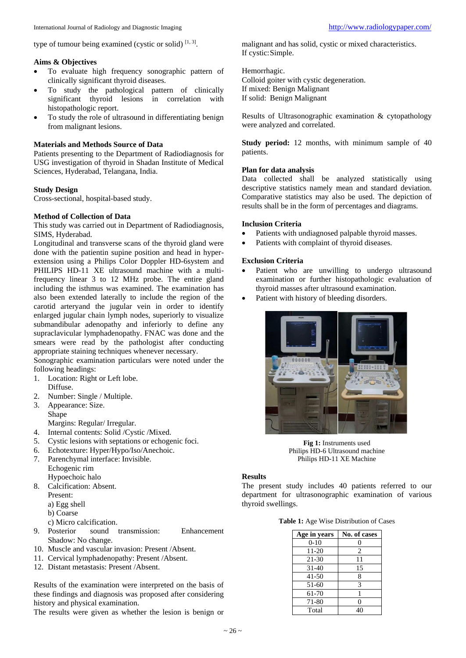type of tumour being examined (cystic or solid)  $[1, 3]$ .

## **Aims & Objectives**

- To evaluate high frequency sonographic pattern of clinically significant thyroid diseases.
- To study the pathological pattern of clinically significant thyroid lesions in correlation with histopathologic report.
- To study the role of ultrasound in differentiating benign from malignant lesions.

### **Materials and Methods Source of Data**

Patients presenting to the Department of Radiodiagnosis for USG investigation of thyroid in Shadan Institute of Medical Sciences, Hyderabad, Telangana, India.

### **Study Design**

Cross-sectional, hospital-based study.

#### **Method of Collection of Data**

This study was carried out in Department of Radiodiagnosis, SIMS, Hyderabad.

Longitudinal and transverse scans of the thyroid gland were done with the patientin supine position and head in hyperextension using a Philips Color Doppler HD-6system and PHILIPS HD-11 XE ultrasound machine with a multifrequency linear 3 to 12 MHz probe. The entire gland including the isthmus was examined. The examination has also been extended laterally to include the region of the carotid arteryand the jugular vein in order to identify enlarged jugular chain lymph nodes, superiorly to visualize submandibular adenopathy and inferiorly to define any supraclavicular lymphadenopathy. FNAC was done and the smears were read by the pathologist after conducting appropriate staining techniques whenever necessary.

Sonographic examination particulars were noted under the following headings:

- 1. Location: Right or Left lobe.
- Diffuse.
- 2. Number: Single / Multiple.
- 3. Appearance: Size. Shape
- Margins: Regular/ Irregular.
- 4. Internal contents: Solid /Cystic /Mixed.
- 5. Cystic lesions with septations or echogenic foci.
- 6. Echotexture: Hyper/Hypo/Iso/Anechoic.
- 7. Parenchymal interface: Invisible. Echogenic rim Hypoechoic halo
- 8. Calcification: Absent. Present:
	- a) Egg shell
	- b) Coarse
	- c) Micro calcification.
- 9. Posterior sound transmission: Enhancement Shadow: No change.
- 10. Muscle and vascular invasion: Present /Absent.
- 11. Cervical lymphadenopathy: Present /Absent.
- 12. Distant metastasis: Present /Absent.

Results of the examination were interpreted on the basis of these findings and diagnosis was proposed after considering history and physical examination.

The results were given as whether the lesion is benign or

malignant and has solid, cystic or mixed characteristics. If cystic:Simple.

Hemorrhagic. Colloid goiter with cystic degeneration. If mixed: Benign Malignant If solid: Benign Malignant

Results of Ultrasonographic examination & cytopathology were analyzed and correlated.

**Study period:** 12 months, with minimum sample of 40 patients.

## **Plan for data analysis**

Data collected shall be analyzed statistically using descriptive statistics namely mean and standard deviation. Comparative statistics may also be used. The depiction of results shall be in the form of percentages and diagrams.

### **Inclusion Criteria**

- Patients with undiagnosed palpable thyroid masses.
- Patients with complaint of thyroid diseases.

## **Exclusion Criteria**

- Patient who are unwilling to undergo ultrasound examination or further histopathologic evaluation of thyroid masses after ultrasound examination.
- Patient with history of bleeding disorders.



**Fig 1:** Instruments used Philips HD-6 Ultrasound machine Philips HD-11 XE Machine

### **Results**

The present study includes 40 patients referred to our department for ultrasonographic examination of various thyroid swellings.

**Table 1:** Age Wise Distribution of Cases

| Age in years | No. of cases |
|--------------|--------------|
| $0 - 10$     | 0            |
| 11-20        | 2            |
| $21 - 30$    | 11           |
| $31 - 40$    | 15           |
| $41 - 50$    | 8            |
| 51-60        | 3            |
| 61-70        |              |
| 71-80        | 0            |
| Total        |              |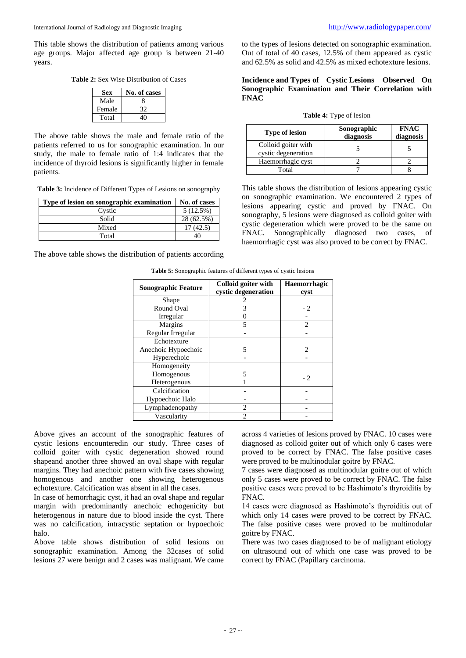This table shows the distribution of patients among various age groups. Major affected age group is between 21-40 years.

**Table 2:** Sex Wise Distribution of Cases

| Sex    | No. of cases |
|--------|--------------|
| Male   |              |
| Female |              |
| Total  |              |

The above table shows the male and female ratio of the patients referred to us for sonographic examination. In our study, the male to female ratio of 1:4 indicates that the incidence of thyroid lesions is significantly higher in female patients.

**Table 3:** Incidence of Different Types of Lesions on sonography

| Type of lesion on sonographic examination | No. of cases |
|-------------------------------------------|--------------|
| Cystic                                    | 5(12.5%)     |
| Solid                                     | 28 (62.5%)   |
| Mixed                                     | 17(42.5)     |
| Total                                     |              |

The above table shows the distribution of patients according

to the types of lesions detected on sonographic examination. Out of total of 40 cases, 12.5% of them appeared as cystic and 62.5% as solid and 42.5% as mixed echotexture lesions.

## **Incidence and Types of Cystic Lesions Observed On Sonographic Examination and Their Correlation with FNAC**

| Table 4: Type of lesion |  |  |  |
|-------------------------|--|--|--|
|-------------------------|--|--|--|

| <b>Type of lesion</b>                      | Sonographic<br>diagnosis | <b>FNAC</b><br>diagnosis |
|--------------------------------------------|--------------------------|--------------------------|
| Colloid goiter with<br>cystic degeneration |                          |                          |
| Haemorrhagic cyst                          |                          |                          |
| Total                                      |                          |                          |

This table shows the distribution of lesions appearing cystic on sonographic examination. We encountered 2 types of lesions appearing cystic and proved by FNAC. On sonography, 5 lesions were diagnosed as colloid goiter with cystic degeneration which were proved to be the same on FNAC. Sonographically diagnosed two cases, of haemorrhagic cyst was also proved to be correct by FNAC.

| <b>Sonographic Feature</b> | Colloid goiter with<br>cystic degeneration | <b>Haemorrhagic</b><br>cyst |  |
|----------------------------|--------------------------------------------|-----------------------------|--|
| Shape                      |                                            |                             |  |
| Round Oval                 |                                            | $-2$                        |  |
| Irregular                  |                                            |                             |  |
| Margins                    | 5                                          | $\mathfrak{D}$              |  |
| Regular Irregular          |                                            |                             |  |
| Echotexture                |                                            |                             |  |
| Anechoic Hypoechoic        | 5                                          | $\mathcal{D}$               |  |
| Hyperechoic                |                                            |                             |  |
| Homogeneity                |                                            |                             |  |
| Homogenous                 |                                            | $-2$                        |  |
| Heterogenous               |                                            |                             |  |
| Calcification              |                                            |                             |  |
| Hypoechoic Halo            |                                            |                             |  |
| Lymphadenopathy            | $\mathcal{D}_{\mathcal{A}}$                |                             |  |
| Vascularity                | 2                                          |                             |  |

**Table 5:** Sonographic features of different types of cystic lesions

Above gives an account of the sonographic features of cystic lesions encounteredin our study. Three cases of colloid goiter with cystic degeneration showed round shapeand another three showed an oval shape with regular margins. They had anechoic pattern with five cases showing homogenous and another one showing heterogenous echotexture. Calcification was absent in all the cases.

In case of hemorrhagic cyst, it had an oval shape and regular margin with predominantly anechoic echogenicity but heterogenous in nature due to blood inside the cyst. There was no calcification, intracystic septation or hypoechoic halo.

Above table shows distribution of solid lesions on sonographic examination. Among the 32cases of solid lesions 27 were benign and 2 cases was malignant. We came across 4 varieties of lesions proved by FNAC. 10 cases were diagnosed as colloid goiter out of which only 6 cases were proved to be correct by FNAC. The false positive cases were proved to be multinodular goitre by FNAC.

7 cases were diagnosed as multinodular goitre out of which only 5 cases were proved to be correct by FNAC. The false positive cases were proved to be Hashimoto's thyroiditis by FNAC.

14 cases were diagnosed as Hashimoto's thyroiditis out of which only 14 cases were proved to be correct by FNAC. The false positive cases were proved to be multinodular goitre by FNAC.

There was two cases diagnosed to be of malignant etiology on ultrasound out of which one case was proved to be correct by FNAC (Papillary carcinoma.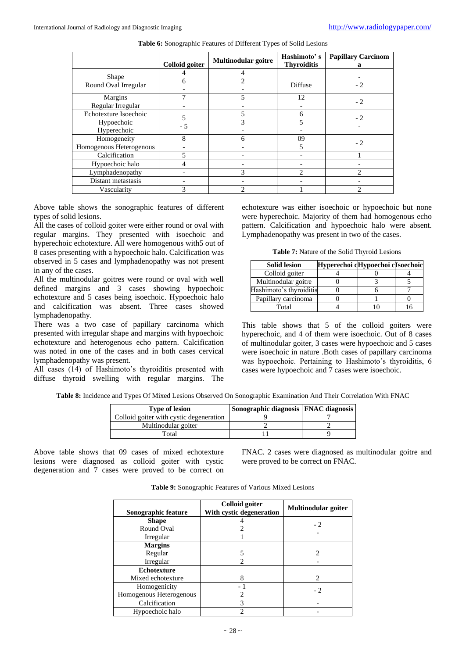|                         | <b>Colloid goiter</b> | Multinodular goitre | Hashimoto's<br><b>Thyroiditis</b> | <b>Papillary Carcinom</b><br>a |
|-------------------------|-----------------------|---------------------|-----------------------------------|--------------------------------|
| Shape                   |                       |                     |                                   |                                |
| Round Oval Irregular    |                       |                     | <b>Diffuse</b>                    | $-2$                           |
|                         |                       |                     |                                   |                                |
| Margins                 |                       | 5                   | 12                                | $-2$                           |
| Regular Irregular       |                       |                     |                                   |                                |
| Echotexture Isoechoic   |                       |                     |                                   | $-2$                           |
| Hypoechoic              | - 5                   |                     |                                   |                                |
| Hyperechoic             |                       |                     |                                   |                                |
| Homogeneity             | 8                     | 6                   | 09                                | $-2$                           |
| Homogenous Heterogenous |                       |                     |                                   |                                |
| Calcification           |                       |                     |                                   |                                |
| Hypoechoic halo         |                       |                     |                                   |                                |
| Lymphadenopathy         |                       | 3                   | 2                                 | っ                              |
| Distant metastasis      |                       |                     |                                   |                                |
| Vascularity             |                       | $\mathcal{D}$       |                                   | っ                              |

**Table 6:** Sonographic Features of Different Types of Solid Lesions

Above table shows the sonographic features of different types of solid lesions.

All the cases of colloid goiter were either round or oval with regular margins. They presented with isoechoic and hyperechoic echotexture. All were homogenous with5 out of 8 cases presenting with a hypoechoic halo. Calcification was observed in 5 cases and lymphadenopathy was not present in any of the cases.

All the multinodular goitres were round or oval with well defined margins and 3 cases showing hypoechoic echotexture and 5 cases being isoechoic. Hypoechoic halo and calcification was absent. Three cases showed lymphadenopathy.

There was a two case of papillary carcinoma which presented with irregular shape and margins with hypoechoic echotexture and heterogenous echo pattern. Calcification was noted in one of the cases and in both cases cervical lymphadenopathy was present.

All cases (14) of Hashimoto's thyroiditis presented with diffuse thyroid swelling with regular margins. The echotexture was either isoechoic or hypoechoic but none were hyperechoic. Majority of them had homogenous echo pattern. Calcification and hypoechoic halo were absent. Lymphadenopathy was present in two of the cases.

**Table 7:** Nature of the Solid Thyroid Lesions

| <b>Solid lesion</b>     | Hyperechoi cHypoechoi cIsoechoic |  |
|-------------------------|----------------------------------|--|
| Colloid goiter          |                                  |  |
| Multinodular goitre     |                                  |  |
| Hashimoto's thyroiditis |                                  |  |
| Papillary carcinoma     |                                  |  |
| Total                   |                                  |  |

This table shows that 5 of the colloid goiters were hyperechoic, and 4 of them were isoechoic. Out of 8 cases of multinodular goiter, 3 cases were hypoechoic and 5 cases were isoechoic in nature .Both cases of papillary carcinoma was hypoechoic. Pertaining to Hashimoto's thyroiditis, 6 cases were hypoechoic and 7 cases were isoechoic.

**Table 8:** Incidence and Types Of Mixed Lesions Observed On Sonographic Examination And Their Correlation With FNAC

| <b>Type of lesion</b>                   | Sonographic diagnosis   FNAC diagnosis |  |
|-----------------------------------------|----------------------------------------|--|
| Colloid goiter with cystic degeneration |                                        |  |
| Multinodular goiter                     |                                        |  |
| Total                                   |                                        |  |

Above table shows that 09 cases of mixed echotexture lesions were diagnosed as colloid goiter with cystic degeneration and 7 cases were proved to be correct on FNAC. 2 cases were diagnosed as multinodular goitre and were proved to be correct on FNAC.

| <b>Table 9:</b> Sonographic Features of Various Mixed Lesions |  |  |
|---------------------------------------------------------------|--|--|
|---------------------------------------------------------------|--|--|

| Sonographic feature     | Colloid goiter<br>With cystic degeneration | Multinodular goiter |
|-------------------------|--------------------------------------------|---------------------|
| <b>Shape</b>            |                                            |                     |
| Round Oval              |                                            | $-2$                |
| Irregular               |                                            |                     |
| <b>Margins</b>          |                                            |                     |
| Regular                 |                                            |                     |
| Irregular               |                                            |                     |
| <b>Echotexture</b>      |                                            |                     |
| Mixed echotexture       | 8                                          |                     |
| Homogenicity            |                                            |                     |
| Homogenous Heterogenous |                                            | $-2$                |
| Calcification           | 3                                          |                     |
| Hypoechoic halo         |                                            |                     |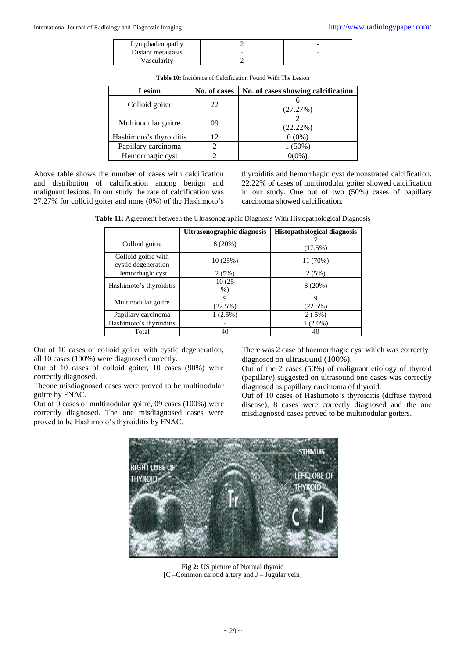| Lymphadenopathy    |   |
|--------------------|---|
| Distant metastasis |   |
| Vascularity        | - |

| <b>Lesion</b>           | No. of cases | No. of cases showing calcification |
|-------------------------|--------------|------------------------------------|
| Colloid goiter          | 22           | (27.27%)                           |
| Multinodular goitre     | 09           | (22.22%)                           |
| Hashimoto's thyroiditis | 12           | $0(0\%)$                           |
| Papillary carcinoma     |              | $(50\%)$                           |
| Hemorrhagic cyst        |              | $0(0\%)$                           |

Above table shows the number of cases with calcification and distribution of calcification among benign and malignant lesions. In our study the rate of calcification was 27.27% for colloid goiter and none (0%) of the Hashimoto's thyroiditis and hemorrhagic cyst demonstrated calcification. 22.22% of cases of multinodular goiter showed calcification in our study. One out of two (50%) cases of papillary carcinoma showed calcification.

|  | Table 11: Agreement between the Ultrasonographic Diagnosis With Histopathological Diagnosis |  |  |
|--|---------------------------------------------------------------------------------------------|--|--|
|  |                                                                                             |  |  |

|                                            | Ultrasonographic diagnosis | <b>Histopathological diagnosis</b> |  |  |
|--------------------------------------------|----------------------------|------------------------------------|--|--|
| Colloid goitre                             | $8(20\%)$                  | $(17.5\%)$                         |  |  |
| Colloid goitre with<br>cystic degeneration | 10(25%)                    | 11 (70%)                           |  |  |
| Hemorrhagic cyst                           | 2(5%)                      | 2(5%)                              |  |  |
| Hashimoto's thyroiditis                    | 10 (25)<br>$%$ )           | 8(20%)                             |  |  |
| Multinodular goitre                        | 9<br>(22.5%)               | 9<br>(22.5%)                       |  |  |
| Papillary carcinoma                        | $1(2.5\%)$                 | 2(5%)                              |  |  |
| Hashimoto's thyroiditis                    |                            | $1(2.0\%)$                         |  |  |
| Total                                      | 40                         | 40                                 |  |  |

Out of 10 cases of colloid goiter with cystic degeneration, all 10 cases (100%) were diagnosed correctly.

Out of 10 cases of colloid goiter, 10 cases (90%) were correctly diagnosed.

Theone misdiagnosed cases were proved to be multinodular goitre by FNAC.

Out of 9 cases of multinodular goitre, 09 cases (100%) were correctly diagnosed. The one misdiagnosed cases were proved to be Hashimoto's thyroiditis by FNAC.

There was 2 case of haemorrhagic cyst which was correctly diagnosed on ultrasound (100%).

Out of the 2 cases (50%) of malignant etiology of thyroid (papillary) suggested on ultrasound one cases was correctly diagnosed as papillary carcinoma of thyroid.

Out of 10 cases of Hashimoto's thyroiditis (diffuse thyroid disease), 8 cases were correctly diagnosed and the one misdiagnosed cases proved to be multinodular goiters.



**Fig 2:** US picture of Normal thyroid [C –Common carotid artery and J – Jugular vein]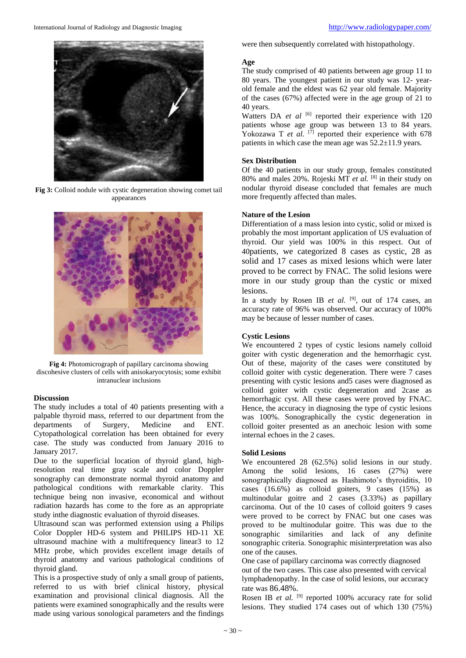

**Fig 3:** Colloid nodule with cystic degeneration showing comet tail appearances



**Fig 4:** Photomicrograph of papillary carcinoma showing discohesive clusters of cells with anisokaryocytosis; some exhibit intranuclear inclusions

## **Discussion**

The study includes a total of 40 patients presenting with a palpable thyroid mass, referred to our department from the departments of Surgery, Medicine and ENT. Cytopathological correlation has been obtained for every case. The study was conducted from January 2016 to January 2017.

Due to the superficial location of thyroid gland, highresolution real time gray scale and color Doppler sonography can demonstrate normal thyroid anatomy and pathological conditions with remarkable clarity. This technique being non invasive, economical and without radiation hazards has come to the fore as an appropriate study inthe diagnostic evaluation of thyroid diseases.

Ultrasound scan was performed extension using a Philips Color Doppler HD-6 system and PHILIPS HD-11 XE ultrasound machine with a multifrequency linear3 to 12 MHz probe, which provides excellent image details of thyroid anatomy and various pathological conditions of thyroid gland.

This is a prospective study of only a small group of patients, referred to us with brief clinical history, physical examination and provisional clinical diagnosis. All the patients were examined sonographically and the results were made using various sonological parameters and the findings were then subsequently correlated with histopathology.

#### **Age**

The study comprised of 40 patients between age group 11 to 80 years. The youngest patient in our study was 12- yearold female and the eldest was 62 year old female. Majority of the cases (67%) affected were in the age group of 21 to 40 years.

Watters DA *et al* <sup>[6]</sup> reported their experience with 120 patients whose age group was between 13 to 84 years. Yokozawa T *et al.* <sup>[7]</sup> reported their experience with 678 patients in which case the mean age was  $52.2 \pm 11.9$  years.

## **Sex Distribution**

Of the 40 patients in our study group, females constituted 80% and males 20%. Rojeski MT *et al.* [8] in their study on nodular thyroid disease concluded that females are much more frequently affected than males.

#### **Nature of the Lesion**

Differentiation of a mass lesion into cystic, solid or mixed is probably the most important application of US evaluation of thyroid. Our yield was 100% in this respect. Out of 40patients, we categorized 8 cases as cystic, 28 as solid and 17 cases as mixed lesions which were later proved to be correct by FNAC. The solid lesions were more in our study group than the cystic or mixed lesions.

In a study by Rosen IB et al. <sup>[9]</sup>, out of 174 cases, an accuracy rate of 96% was observed. Our accuracy of 100% may be because of lesser number of cases.

## **Cystic Lesions**

We encountered 2 types of cystic lesions namely colloid goiter with cystic degeneration and the hemorrhagic cyst. Out of these, majority of the cases were constituted by colloid goiter with cystic degeneration. There were 7 cases presenting with cystic lesions and5 cases were diagnosed as colloid goiter with cystic degeneration and 2case as hemorrhagic cyst. All these cases were proved by FNAC. Hence, the accuracy in diagnosing the type of cystic lesions was 100%. Sonographically the cystic degeneration in colloid goiter presented as an anechoic lesion with some internal echoes in the 2 cases.

#### **Solid Lesions**

We encountered 28 (62.5%) solid lesions in our study. Among the solid lesions, 16 cases (27%) were sonographically diagnosed as Hashimoto's thyroiditis, 10 cases (16.6%) as colloid goiters, 9 cases (15%) as multinodular goitre and 2 cases (3.33%) as papillary carcinoma. Out of the 10 cases of colloid goiters 9 cases were proved to be correct by FNAC but one cases was proved to be multinodular goitre. This was due to the sonographic similarities and lack of any definite sonographic criteria. Sonographic misinterpretation was also one of the causes.

One case of papillary carcinoma was correctly diagnosed out of the two cases. This case also presented with cervical lymphadenopathy. In the case of solid lesions, our accuracy rate was 86.48%.

Rosen IB et al. <sup>[9]</sup> reported 100% accuracy rate for solid lesions. They studied 174 cases out of which 130 (75%)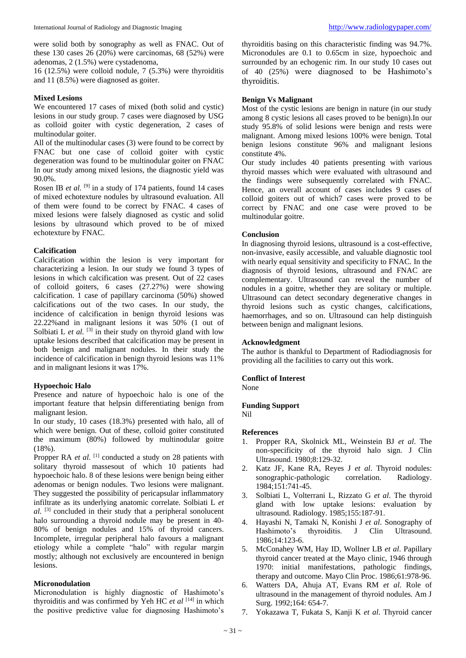were solid both by sonography as well as FNAC. Out of these 130 cases 26 (20%) were carcinomas, 68 (52%) were adenomas, 2 (1.5%) were cystadenoma,

16 (12.5%) were colloid nodule, 7 (5.3%) were thyroiditis and 11 (8.5%) were diagnosed as goiter.

#### **Mixed Lesions**

We encountered 17 cases of mixed (both solid and cystic) lesions in our study group. 7 cases were diagnosed by USG as colloid goiter with cystic degeneration, 2 cases of multinodular goiter.

All of the multinodular cases (3) were found to be correct by FNAC but one case of colloid goiter with cystic degeneration was found to be multinodular goiter on FNAC In our study among mixed lesions, the diagnostic yield was 90.0%.

Rosen IB *et al.* <sup>[9]</sup> in a study of 174 patients, found 14 cases of mixed echotexture nodules by ultrasound evaluation. All of them were found to be correct by FNAC. 4 cases of mixed lesions were falsely diagnosed as cystic and solid lesions by ultrasound which proved to be of mixed echotexture by FNAC.

### **Calcification**

Calcification within the lesion is very important for characterizing a lesion. In our study we found 3 types of lesions in which calcification was present. Out of 22 cases of colloid goiters, 6 cases (27.27%) were showing calcification. 1 case of papillary carcinoma (50%) showed calcifications out of the two cases. In our study, the incidence of calcification in benign thyroid lesions was 22.22%and in malignant lesions it was 50% (1 out of Solbiati L *et al.* <sup>[3]</sup> in their study on thyroid gland with low uptake lesions described that calcification may be present in both benign and malignant nodules. In their study the incidence of calcification in benign thyroid lesions was 11% and in malignant lesions it was 17%.

## **Hypoechoic Halo**

Presence and nature of hypoechoic halo is one of the important feature that helpsin differentiating benign from malignant lesion.

In our study, 10 cases (18.3%) presented with halo, all of which were benign. Out of these, colloid goiter constituted the maximum (80%) followed by multinodular goitre (18%).

Propper RA *et al.* <sup>[1]</sup> conducted a study on 28 patients with solitary thyroid massesout of which 10 patients had hypoechoic halo. 8 of these lesions were benign being either adenomas or benign nodules. Two lesions were malignant. They suggested the possibility of pericapsular inflammatory infiltrate as its underlying anatomic correlate. Solbiati L *et al.* [3] concluded in their study that a peripheral sonolucent halo surrounding a thyroid nodule may be present in 40- 80% of benign nodules and 15% of thyroid cancers. Incomplete, irregular peripheral halo favours a malignant etiology while a complete "halo" with regular margin mostly; although not exclusively are encountered in benign lesions.

## **Micronodulation**

Micronodulation is highly diagnostic of Hashimoto's thyroiditis and was confirmed by Yeh HC *et al* [14] in which the positive predictive value for diagnosing Hashimoto's

thyroiditis basing on this characteristic finding was 94.7%. Micronodules are 0.1 to 0.65cm in size, hypoechoic and surrounded by an echogenic rim. In our study 10 cases out of 40 (25%) were diagnosed to be Hashimoto's thyroiditis.

## **Benign Vs Malignant**

Most of the cystic lesions are benign in nature (in our study among 8 cystic lesions all cases proved to be benign).In our study 95.8% of solid lesions were benign and rests were malignant. Among mixed lesions 100% were benign. Total benign lesions constitute 96% and malignant lesions constitute 4%.

Our study includes 40 patients presenting with various thyroid masses which were evaluated with ultrasound and the findings were subsequently correlated with FNAC. Hence, an overall account of cases includes 9 cases of colloid goiters out of which7 cases were proved to be correct by FNAC and one case were proved to be multinodular goitre.

## **Conclusion**

In diagnosing thyroid lesions, ultrasound is a cost-effective, non-invasive, easily accessible, and valuable diagnostic tool with nearly equal sensitivity and specificity to FNAC. In the diagnosis of thyroid lesions, ultrasound and FNAC are complementary. Ultrasound can reveal the number of nodules in a goitre, whether they are solitary or multiple. Ultrasound can detect secondary degenerative changes in thyroid lesions such as cystic changes, calcifications, haemorrhages, and so on. Ultrasound can help distinguish between benign and malignant lesions.

#### **Acknowledgment**

The author is thankful to Department of Radiodiagnosis for providing all the facilities to carry out this work.

## **Conflict of Interest**

None

## **Funding Support**

Nil

## **References**

- 1. Propper RA, Skolnick ML, Weinstein BJ *et al*. The non-specificity of the thyroid halo sign. J Clin Ultrasound. 1980;8:129-32.
- 2. Katz JF, Kane RA, Reyes J *et al*. Thyroid nodules: sonographic-pathologic correlation. Radiology. 1984;151:741-45.
- 3. Solbiati L, Volterrani L, Rizzato G *et al*. The thyroid gland with low uptake lesions: evaluation by ultrasound. Radiology. 1985;155:187-91.
- 4. Hayashi N, Tamaki N, Konishi J *et al*. Sonography of Hashimoto's thyroiditis. J Clin Ultrasound. 1986;14:123-6.
- 5. McConahey WM, Hay ID, Wollner LB *et al*. Papillary thyroid cancer treated at the Mayo clinic, 1946 through 1970: initial manifestations, pathologic findings, therapy and outcome. Mayo Clin Proc. 1986;61:978-96.
- 6. Watters DA, Ahuja AT, Evans RM *et al*. Role of ultrasound in the management of thyroid nodules. Am J Surg. 1992;164: 654-7.
- 7. Yokazawa T, Fukata S, Kanji K *et al*. Thyroid cancer